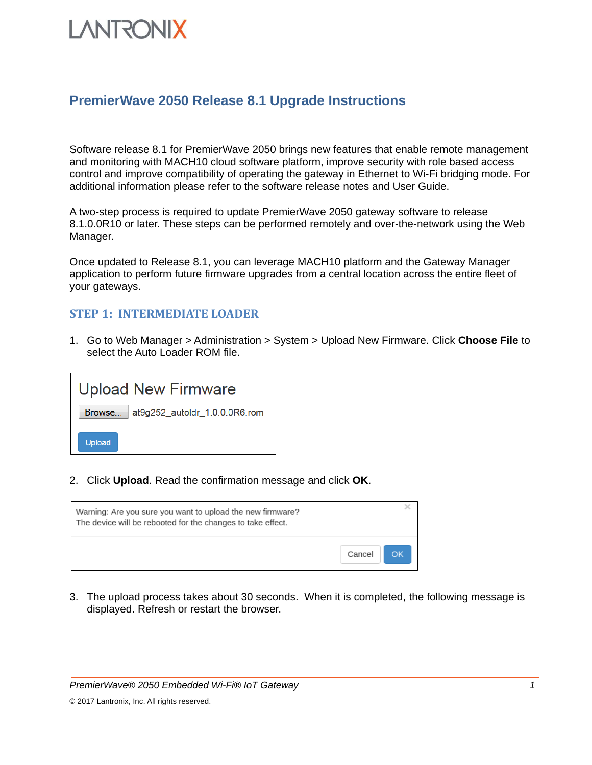# **LANTRONIX**

### **PremierWave 2050 Release 8.1 Upgrade Instructions**

Software release 8.1 for PremierWave 2050 brings new features that enable remote management and monitoring with MACH10 cloud software platform, improve security with role based access control and improve compatibility of operating the gateway in Ethernet to Wi-Fi bridging mode. For additional information please refer to the software release notes and User Guide.

A two-step process is required to update PremierWave 2050 gateway software to release 8.1.0.0R10 or later. These steps can be performed remotely and over-the-network using the Web Manager.

Once updated to Release 8.1, you can leverage MACH10 platform and the Gateway Manager application to perform future firmware upgrades from a central location across the entire fleet of your gateways.

#### **STEP 1: INTERMEDIATE LOADER**

1. Go to Web Manager > Administration > System > Upload New Firmware. Click **Choose File** to select the Auto Loader ROM file.

| <b>Upload New Firmware</b>           |
|--------------------------------------|
| Browse at9g252_autoldr_1.0.0.0R6.rom |
| Upload                               |

2. Click **Upload**. Read the confirmation message and click **OK**.



3. The upload process takes about 30 seconds. When it is completed, the following message is displayed. Refresh or restart the browser.